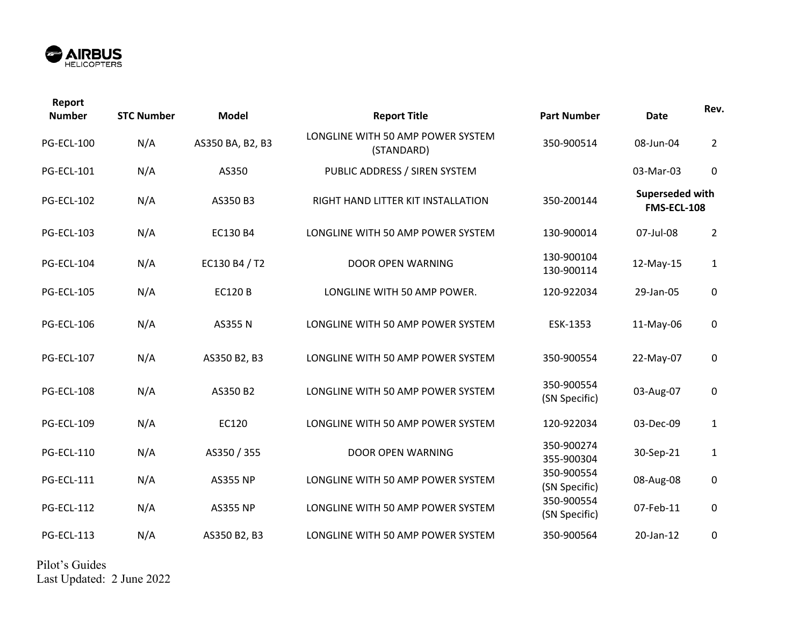

| Report<br><b>Number</b> | <b>STC Number</b> | <b>Model</b>     | <b>Report Title</b>                             | <b>Part Number</b>          | <b>Date</b>                           | Rev.             |
|-------------------------|-------------------|------------------|-------------------------------------------------|-----------------------------|---------------------------------------|------------------|
| <b>PG-ECL-100</b>       | N/A               | AS350 BA, B2, B3 | LONGLINE WITH 50 AMP POWER SYSTEM<br>(STANDARD) | 350-900514                  | 08-Jun-04                             | $\overline{2}$   |
| <b>PG-ECL-101</b>       | N/A               | AS350            | PUBLIC ADDRESS / SIREN SYSTEM                   |                             | 03-Mar-03                             | $\boldsymbol{0}$ |
| <b>PG-ECL-102</b>       | N/A               | AS350 B3         | RIGHT HAND LITTER KIT INSTALLATION              | 350-200144                  | Superseded with<br><b>FMS-ECL-108</b> |                  |
| <b>PG-ECL-103</b>       | N/A               | EC130 B4         | LONGLINE WITH 50 AMP POWER SYSTEM               | 130-900014                  | 07-Jul-08                             | $\overline{2}$   |
| <b>PG-ECL-104</b>       | N/A               | EC130 B4 / T2    | <b>DOOR OPEN WARNING</b>                        | 130-900104<br>130-900114    | 12-May-15                             | $\mathbf{1}$     |
| <b>PG-ECL-105</b>       | N/A               | <b>EC120B</b>    | LONGLINE WITH 50 AMP POWER.                     | 120-922034                  | 29-Jan-05                             | $\mathbf 0$      |
| <b>PG-ECL-106</b>       | N/A               | <b>AS355 N</b>   | LONGLINE WITH 50 AMP POWER SYSTEM               | ESK-1353                    | 11-May-06                             | $\mathsf 0$      |
| <b>PG-ECL-107</b>       | N/A               | AS350 B2, B3     | LONGLINE WITH 50 AMP POWER SYSTEM               | 350-900554                  | 22-May-07                             | $\mathsf 0$      |
| <b>PG-ECL-108</b>       | N/A               | AS350 B2         | LONGLINE WITH 50 AMP POWER SYSTEM               | 350-900554<br>(SN Specific) | 03-Aug-07                             | 0                |
| <b>PG-ECL-109</b>       | N/A               | EC120            | LONGLINE WITH 50 AMP POWER SYSTEM               | 120-922034                  | 03-Dec-09                             | $\mathbf{1}$     |
| <b>PG-ECL-110</b>       | N/A               | AS350 / 355      | DOOR OPEN WARNING                               | 350-900274<br>355-900304    | 30-Sep-21                             | $\mathbf{1}$     |
| <b>PG-ECL-111</b>       | N/A               | <b>AS355 NP</b>  | LONGLINE WITH 50 AMP POWER SYSTEM               | 350-900554<br>(SN Specific) | 08-Aug-08                             | $\pmb{0}$        |
| <b>PG-ECL-112</b>       | N/A               | <b>AS355 NP</b>  | LONGLINE WITH 50 AMP POWER SYSTEM               | 350-900554<br>(SN Specific) | 07-Feb-11                             | $\pmb{0}$        |
| <b>PG-ECL-113</b>       | N/A               | AS350 B2, B3     | LONGLINE WITH 50 AMP POWER SYSTEM               | 350-900564                  | 20-Jan-12                             | $\mathbf 0$      |

Pilot's Guides Last Updated: 2 June 2022